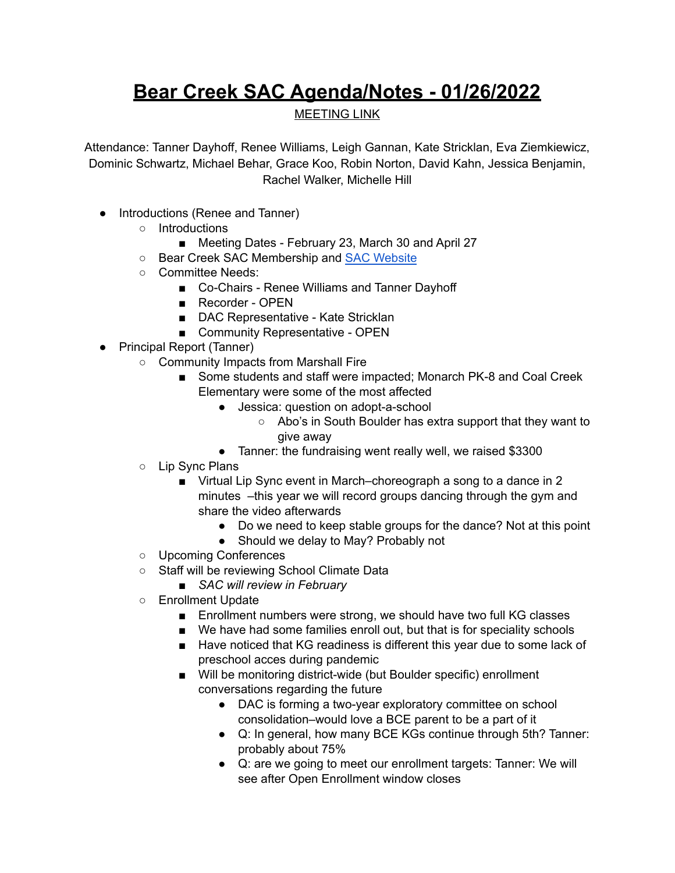## **Bear Creek SAC Agenda/Notes - 01/26/2022**

## MEETING LINK

Attendance: Tanner Dayhoff, Renee Williams, Leigh Gannan, Kate Stricklan, Eva Ziemkiewicz, Dominic Schwartz, Michael Behar, Grace Koo, Robin Norton, David Kahn, Jessica Benjamin, Rachel Walker, Michelle Hill

- Introductions (Renee and Tanner)
	- Introductions
		- *■* Meeting Dates February 23, March 30 and April 27
	- Bear Creek SAC Membership and SAC [Website](https://bce.bvsd.org/about/school-accountability-committee-sac)
	- Committee Needs:
		- Co-Chairs Renee Williams and Tanner Dayhoff
			- Recorder OPEN
			- DAC Representative Kate Stricklan
			- Community Representative OPEN
- Principal Report (Tanner)
	- Community Impacts from Marshall Fire
		- Some students and staff were impacted; Monarch PK-8 and Coal Creek Elementary were some of the most affected
			- Jessica: question on adopt-a-school
				- Abo's in South Boulder has extra support that they want to give away
			- Tanner: the fundraising went really well, we raised \$3300
	- Lip Sync Plans
		- Virtual Lip Sync event in March–choreograph a song to a dance in 2 minutes –this year we will record groups dancing through the gym and share the video afterwards
			- Do we need to keep stable groups for the dance? Not at this point
			- Should we delay to May? Probably not
	- Upcoming Conferences
	- Staff will be reviewing School Climate Data
		- *■ SAC will review in February*
	- Enrollment Update
		- Enrollment numbers were strong, we should have two full KG classes
		- We have had some families enroll out, but that is for speciality schools
		- Have noticed that KG readiness is different this year due to some lack of preschool acces during pandemic
		- Will be monitoring district-wide (but Boulder specific) enrollment conversations regarding the future
			- DAC is forming a two-year exploratory committee on school consolidation–would love a BCE parent to be a part of it
			- Q: In general, how many BCE KGs continue through 5th? Tanner: probably about 75%
			- Q: are we going to meet our enrollment targets: Tanner: We will see after Open Enrollment window closes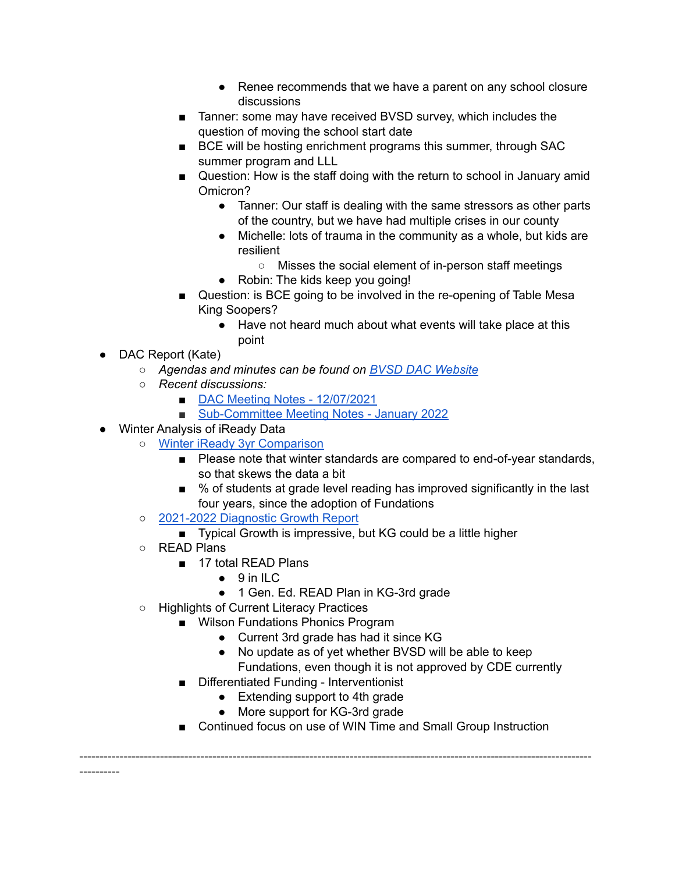- Renee recommends that we have a parent on any school closure discussions
- Tanner: some may have received BVSD survey, which includes the question of moving the school start date
- BCE will be hosting enrichment programs this summer, through SAC summer program and LLL
- Question: How is the staff doing with the return to school in January amid Omicron?
	- Tanner: Our staff is dealing with the same stressors as other parts of the country, but we have had multiple crises in our county
	- Michelle: lots of trauma in the community as a whole, but kids are resilient
		- Misses the social element of in-person staff meetings
	- Robin: The kids keep you going!
- Question: is BCE going to be involved in the re-opening of Table Mesa King Soopers?
	- Have not heard much about what events will take place at this point
- DAC Report (Kate)
	- *○ Agendas and minutes can be found on BVSD DAC [Website](https://www.bvsd.org/about/district-accountability-committee)*
	- *○ Recent discussions:*
		- DAC Meeting Notes [12/07/2021](https://docs.google.com/document/d/1osNlIfMC0QF9GVDN97uX5pCXaLDlTqi39kTnlYgvaW0/edit?usp=sharing)
		- [Sub-Committee](https://docs.google.com/document/d/1fIoPPcXoVuSqnITGiHi32amGX4vA540A/edit?usp=sharing&ouid=101442236095746060188&rtpof=true&sd=true) Meeting Notes January 2022
- Winter Analysis of iReady Data
	- Winter iReady 3yr [Comparison](https://drive.google.com/file/d/1Kjd80iSlnLjpBpcKDczcgwRJg9Jt3tFV/view?usp=sharing)
		- Please note that winter standards are compared to end-of-year standards, so that skews the data a bit
		- % of students at grade level reading has improved significantly in the last four years, since the adoption of Fundations
	- [2021-2022](https://drive.google.com/file/d/1Kz8aPGw50gwOyd60gjLJKqtgYDxIYjYc/view?usp=sharing) Diagnostic Growth Report
		- Typical Growth is impressive, but KG could be a little higher
	- READ Plans

----------

- 17 total READ Plans
	- 9 in ILC
	- 1 Gen. Ed. READ Plan in KG-3rd grade
- Highlights of Current Literacy Practices
	- Wilson Fundations Phonics Program
		- Current 3rd grade has had it since KG

-------------------------------------------------------------------------------------------------------------------------------

- No update as of yet whether BVSD will be able to keep Fundations, even though it is not approved by CDE currently
- Differentiated Funding Interventionist
	- Extending support to 4th grade
	- More support for KG-3rd grade
- Continued focus on use of WIN Time and Small Group Instruction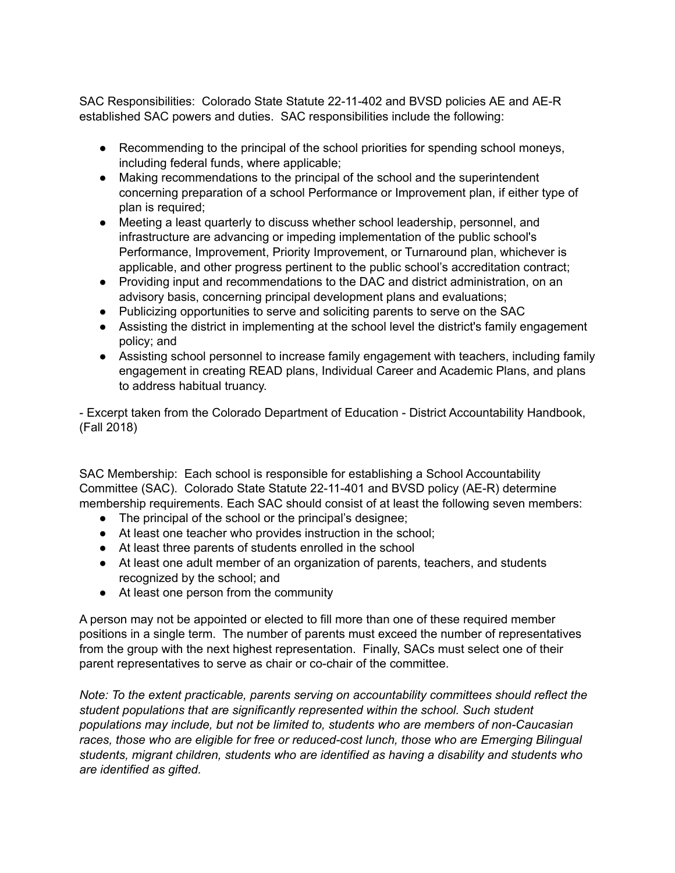SAC Responsibilities: Colorado State Statute [22-11-402](http://www.lpdirect.net/casb/crs/22-11-402.html) and BVSD policies [AE](https://www.bvsd.org/about/board-of-education/policies/policy/~board/a-policies/post/ae-accountabilitycommitment-to-accomplishment) and [AE-R](https://www.bvsd.org/about/board-of-education/policies/policy/~board/a-policies/post/ae-r-accountabilitycommitment-to-accomplishment-regulation) established SAC powers and duties. SAC responsibilities include the following:

- Recommending to the principal of the school priorities for spending school moneys, including federal funds, where applicable;
- Making recommendations to the principal of the school and the superintendent concerning preparation of a school Performance or Improvement plan, if either type of plan is required;
- Meeting a least quarterly to discuss whether school leadership, personnel, and infrastructure are advancing or impeding implementation of the public school's Performance, Improvement, Priority Improvement, or Turnaround plan, whichever is applicable, and other progress pertinent to the public school's accreditation contract;
- Providing input and recommendations to the DAC and district administration, on an advisory basis, concerning principal development plans and evaluations;
- Publicizing opportunities to serve and soliciting parents to serve on the SAC
- Assisting the district in implementing at the school level the district's family engagement policy; and
- Assisting school personnel to increase family engagement with teachers, including family engagement in creating READ plans, Individual Career and Academic Plans, and plans to address habitual truancy.

- Excerpt taken from the Colorado Department of Education - District Accountability Handbook, (Fall 2018)

SAC Membership: Each school is responsible for establishing a School Accountability Committee (SAC). Colorado State Statute [22-11-401](http://www.lpdirect.net/casb/crs/22-11-401.html) and BVSD policy [\(AE-R](https://www.bvsd.org/about/board-of-education/policies/policy/~board/a-policies/post/ae-r-accountabilitycommitment-to-accomplishment-regulation)) determine membership requirements. Each SAC should consist of at least the following seven members:

- The principal of the school or the principal's designee;
- At least one teacher who provides instruction in the school;
- At least three parents of students enrolled in the school
- At least one adult member of an organization of parents, teachers, and students recognized by the school; and
- At least one person from the community

A person may not be appointed or elected to fill more than one of these required member positions in a single term. The number of parents must exceed the number of representatives from the group with the next highest representation. Finally, SACs must select one of their parent representatives to serve as chair or co-chair of the committee.

*Note: To the extent practicable, parents serving on accountability committees should reflect the student populations that are significantly represented within the school. Such student populations may include, but not be limited to, students who are members of non-Caucasian races, those who are eligible for free or reduced-cost lunch, those who are Emerging Bilingual students, migrant children, students who are identified as having a disability and students who are identified as gifted.*